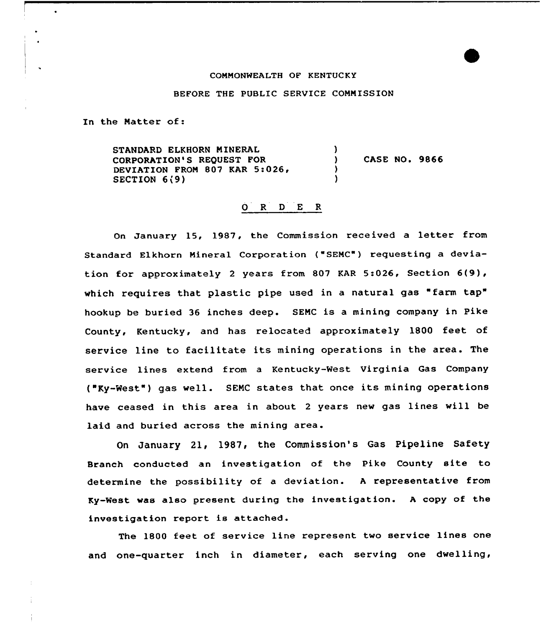#### CONNONWEALTH OF KENTUCKY

#### BEFORE THE PUBLIC SERVICE COMNISSION

In the Matter of:

 $\bullet$ 

STANDARD ELKHORN MINERAL CORPORATION'S REQUEST FOR DEVIATION FROM 807 KAR 5:026, SECTION 6(9) )<br>) ) CASE NO. 9866<br>) )

## 0 R <sup>D</sup> E <sup>R</sup>

Qn January 15, 1987, the Commission received <sup>a</sup> letter from Standard Elkhorn Mineral Corporation ("SENC") requesting a deviation for approximately 2 years from 807 KAR 5:026, Section  $6(9)$ , which requires that plastic pipe used in a natural gas "farm tap" hookup be buried 36 inches deep. SEMC is a mining company in Pike County, Kentucky, and has relocated approximately 1800 feet of service line to facilitate its mining operations in the area. The service lines extend from a Kentucky-West Virginia Gas Company ("Ky-West") gas well. SEMC states that once its mining operations have ceased in this area in about <sup>2</sup> years new gas lines will be laid and buried across the mining area.

On January 21, 1987, the Commission's Gas Pipeline Safety Branch conducted an investigation of the Pike County site to determine the possibility of a deviation. <sup>A</sup> representative from Ky-West was also present during the investigation. <sup>A</sup> copy of the investigation report is attached.

The 1800 feet of service line represent two service lines one and one-quarter inch in diameter, each serving one dwelling,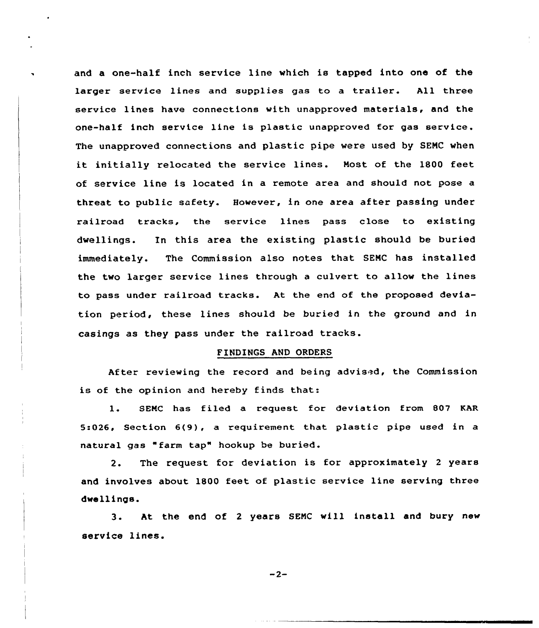and a one-half inch service line which is tapped into one of the larger service lines and supplies gas to <sup>a</sup> trailer. All three service lines have connections with unapproved materials, and the one-half inch service line is plastic unapproved for gas service. The unapproved connections and plastic pipe were used by SEMC when it initially relocated the service lines. Most of the 1800 feet of service line is located in a remote area and should not pose a threat to public safety. However, in one area after passing under railroad tracks, the service lines pass close to existing dwellings. In this area the existing plastic should be buried immediately. The Commission also notes that SEMC has installed the two larger service lines through <sup>a</sup> culvert to allow the lines to pass under railroad tracks. At the end of the proposed deviation period, these lines should be buried in the ground and in casings as they pass under the railroad tracks.

## FINDINGS AND ORDERS

After reviewing the record and being advised, the Commission is of the opinion and hereby finds that:

1. SEMC has filed <sup>a</sup> request for deviation from 8Q7 KAR 5:026, Section 6(9), a requirement that plastic pipe used in a natural gas "farm tap" hookup be buried.

2. The request for deviation is for approximately <sup>2</sup> years and involves about 180Q feet of plastic service line serving three dwellings.

3. At the end of <sup>2</sup> years SEMC will install and bury new service lines.

 $-2-$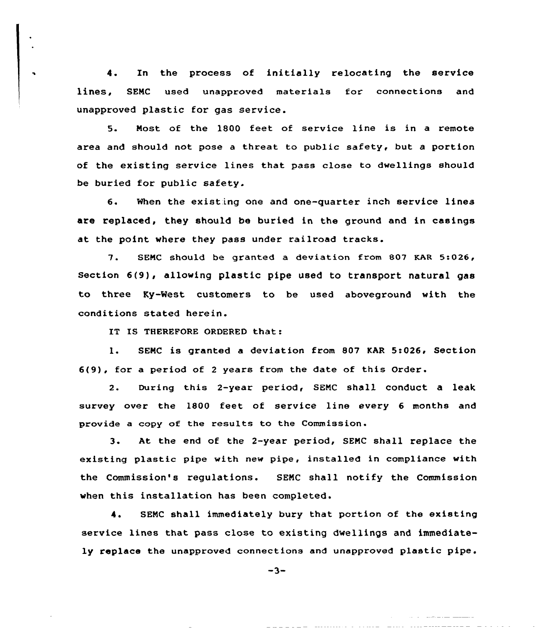4. In the process of initially relocating the service lines, SENC used unapproved materials for connections and unapproved plastic for gas service.

5. Most of the 1800 feet of service line is in a remote area and should not pose a threat to public safety, but a portion of the existing service lines that pass close to dwellings should be buried for public safety.

6. When the existing one and one-quarter inch service linea are replaced, they should be buried in the ground and in casings at the point where they pass under railroad tracks.

7. SENC should be granted <sup>a</sup> deviation from 807 KAR 5:026, section 6(9), allowing plastic pipe used to transport natural gas to three Ky-'West customers to be used aboveground with the conditions stated herein.

IT IS THEREFORE ORDERED that:

 $\ddot{\phantom{a}}$ 

l. SENC is granted <sup>a</sup> deviation from <sup>807</sup> KAR 5:026< Section 6(9), for a period of <sup>2</sup> years from the date of this Order.

2. During this 2-year period, SENC shall conduct a leak survey over the 1800 feet of service line every 6 months and provide a copy of the results to the Commission.

3. At the end of the 2-year period, SEMC shall replace the existing plastic pipe with new pipe, installed in compliance with the Commission's regulations. SEMC shall notify the Commission when this installation has been completed.

4. SENC shall immediately bury that portion of the existing service lines that pass close to existing dwellings and immediately replace the unapproved connections and unapproved plastic pipe.

 $-3-$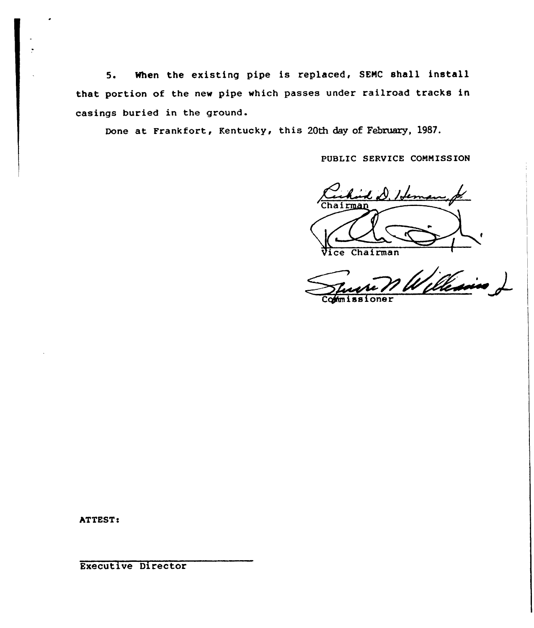5. When the existing pipe is replaced, SEMC shall install that portion of the new pipe which passes under railroad tracks in casings buried in the ground.

Done at Frankfort, Kentucky, this 20th day of February, 1987.

PUBLIC SERVICE COMNISS ION



William

Commissione

ATTEST:

Executive Director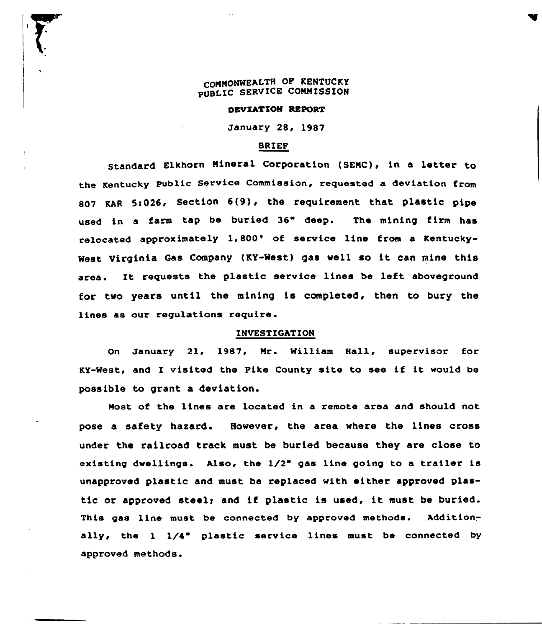# COMMONWEALTH OF KENTUCKY PUBLIC SERVICE COMMISSION

#### DEVIATION REPORT

January 28, 1987

## BRIEF

Elkhorn Mineral Corporation (SEMC), in <sup>a</sup> letter to the Kentucky Public Service Commission, requested a deviation from 807 KAR 5:026, Section  $6(9)$ , the requirement that plastic pipe used in a farm tap be buried 36" deep. The mining firm has relocated approximately 1,800' of service line from a Kentuckywest virginia Gas Company (KY-Nest) gas well so it can mine this area. It requests the plastic service lines be left aboveground for two years until the mining is completed, then to bury the lines as our regulations require.

## INVESTIGATION

On January 21, 1987, Mr. William Hall, supervisor for KY-West, and I visited the Pike County site to see if it would be possible to grant a deviation.

Most of the lines are located in a remote area and should not pose a safety hazard. However, the area where the lines cross under the railroad track must be buried because they are close to existing dwellings. Also, the  $1/2$ " gas line going to a trailer is unapproved plastic and must be replaced with either approved plastic or approved steely and if plastic is used, it must be buried. This gas line must be connected by approved methods. Additionally, the  $1 \frac{1}{4}$  plastic service lines must be connected by approved methods.